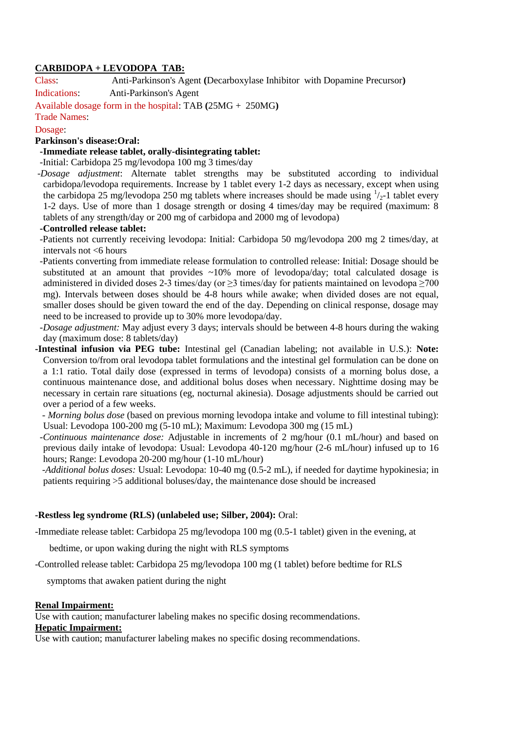## **CARBIDOPA + LEVODOPA TAB:**

Class: Anti-Parkinson's Agent **(**Decarboxylase Inhibitor with Dopamine Precursor**)**

Indications: Anti-Parkinson's Agent

Available dosage form in the hospital: TAB **(**25MG + 250MG**)**

# Trade Names:

## Dosage:

## **Parkinson's disease:Oral:**

## **-Immediate release tablet, orally-disintegrating tablet:**

-Initial: Carbidopa 25 mg/levodopa 100 mg 3 times/day

-*Dosage adjustment*: Alternate tablet strengths may be substituted according to individual carbidopa/levodopa requirements. Increase by 1 tablet every 1-2 days as necessary, except when using the carbidopa 25 mg/levodopa 250 mg tablets where increases should be made using  $\frac{1}{2}$ -1 tablet every 1-2 days. Use of more than 1 dosage strength or dosing 4 times/day may be required (maximum: 8 tablets of any strength/day or 200 mg of carbidopa and 2000 mg of levodopa)

#### **-Controlled release tablet:**

- -Patients not currently receiving levodopa: Initial: Carbidopa 50 mg/levodopa 200 mg 2 times/day, at intervals not <6 hours
- -Patients converting from immediate release formulation to controlled release: Initial: Dosage should be substituted at an amount that provides  $\sim 10\%$  more of levodopa/day; total calculated dosage is administered in divided doses 2-3 times/day (or  $\geq$ 3 times/day for patients maintained on levodopa  $\geq$ 700 mg). Intervals between doses should be 4-8 hours while awake; when divided doses are not equal, smaller doses should be given toward the end of the day. Depending on clinical response, dosage may need to be increased to provide up to 30% more levodopa/day.
- *-Dosage adjustment:* May adjust every 3 days; intervals should be between 4-8 hours during the waking day (maximum dose: 8 tablets/day)
- **-Intestinal infusion via PEG tube:** Intestinal gel (Canadian labeling; not available in U.S.): **Note:** Conversion to/from oral levodopa tablet formulations and the intestinal gel formulation can be done on a 1:1 ratio. Total daily dose (expressed in terms of levodopa) consists of a morning bolus dose, a continuous maintenance dose, and additional bolus doses when necessary. Nighttime dosing may be necessary in certain rare situations (eg, nocturnal akinesia). Dosage adjustments should be carried out over a period of a few weeks.

 *- Morning bolus dose* (based on previous morning levodopa intake and volume to fill intestinal tubing): Usual: Levodopa 100-200 mg (5-10 mL); Maximum: Levodopa 300 mg (15 mL)

 *-Continuous maintenance dose:* Adjustable in increments of 2 mg/hour (0.1 mL/hour) and based on previous daily intake of levodopa: Usual: Levodopa 40-120 mg/hour (2-6 mL/hour) infused up to 16 hours; Range: Levodopa 20-200 mg/hour (1-10 mL/hour)

 *-Additional bolus doses:* Usual: Levodopa: 10-40 mg (0.5-2 mL), if needed for daytime hypokinesia; in patients requiring >5 additional boluses/day, the maintenance dose should be increased

#### **-Restless leg syndrome (RLS) (unlabeled use; Silber, 2004):** Oral:

-Immediate release tablet: Carbidopa 25 mg/levodopa 100 mg (0.5-1 tablet) given in the evening, at

bedtime, or upon waking during the night with RLS symptoms

-Controlled release tablet: Carbidopa 25 mg/levodopa 100 mg (1 tablet) before bedtime for RLS

symptoms that awaken patient during the night

#### **Renal Impairment:**

Use with caution; manufacturer labeling makes no specific dosing recommendations.

### **Hepatic Impairment:**

Use with caution; manufacturer labeling makes no specific dosing recommendations.